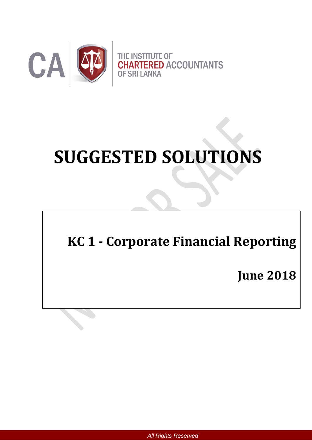

# **SUGGESTED SOLUTIONS**

## **KC 1 - Corporate Financial Reporting**

**June 2018**

*All Rights Reserved*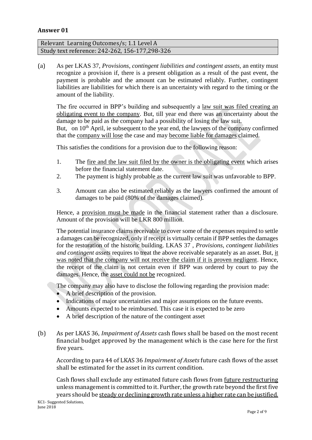#### **Answer 01**

#### Relevant Learning Outcomes/s; 1.1 Level A Study text reference: 242-262, 156-177,298-326

(a) As per LKAS 37, *Provisions, contingent liabilities and contingent assets,* an entity must recognize a provision if, there is a present obligation as a result of the past event, the payment is probable and the amount can be estimated reliably. Further, contingent liabilities are liabilities for which there is an uncertainty with regard to the timing or the amount of the liability.

The fire occurred in BPP's building and subsequently a law suit was filed creating an obligating event to the company. But, till year end there was an uncertainty about the damage to be paid as the company had a possibility of losing the law suit. But, on 10<sup>th</sup> April, ie subsequent to the year end, the lawyers of the company confirmed that the company will lose the case and may become liable for damages claimed.

This satisfies the conditions for a provision due to the following reason:

- 1. The fire and the law suit filed by the owner is the obligating event which arises before the financial statement date.
- 2. The payment is highly probable as the current law suit was unfavorable to BPP.
- 3. Amount can also be estimated reliably as the lawyers confirmed the amount of damages to be paid (80% of the damages claimed).

Hence, a provision must be made in the financial statement rather than a disclosure. Amount of the provision will be LKR 800 million.

The potential insurance claims receivable to cover some of the expenses required to settle a damages can be recognized, only if receipt is virtually certain if BPP settles the damages for the restoration of the historic building. LKAS 37 , *Provisions, contingent liabilities and contingent assets* requires to treat the above receivable separately as an asset. But, it was noted that the company will not receive the claim if it is proven negligent. Hence, the receipt of the claim is not certain even if BPP was ordered by court to pay the damages. Hence, the asset could not be recognized.

The company may also have to disclose the following regarding the provision made:

- A brief description of the provision.
- Indications of major uncertainties and major assumptions on the future events.
- Amounts expected to be reimbursed. This case it is expected to be zero
- A brief description of the nature of the contingent asset
- (b) As per LKAS 36, *Impairment of Assets* cash flows shall be based on the most recent financial budget approved by the management which is the case here for the first five years.

According to para 44 of LKAS 36 *Impairment of Assets* future cash flows of the asset shall be estimated for the asset in its current condition.

Cash flows shall exclude any estimated future cash flows from future restructuring unless management is committed to it. Further, the growth rate beyond the first five years should be steady or declining growth rate unless a higher rate can be justified.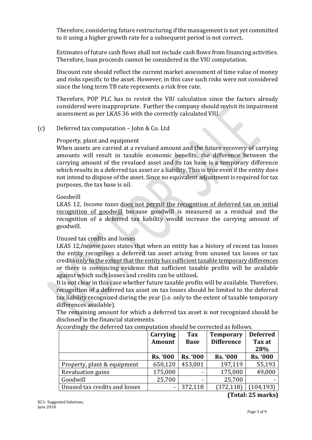Therefore, considering future restructuring if the management is not yet committed to it using a higher growth rate for a subsequent period is not correct*.*

Estimates of future cash flows shall not include cash flows from financing activities. Therefore, loan proceeds cannot be considered in the VIU computation.

Discount rate should reflect the current market assessment of time value of money and risks specific to the asset. However, in this case such risks were not considered since the long term TB rate represents a risk free rate.

Therefore, POP PLC has to revisit the VIU calculation since the factors already considered were inappropriate. Further the company should revisit its impairment assessment as per LKAS 36 with the correctly calculated VIU.

#### (c) Deferred tax computation – John & Co. Ltd

#### Property, plant and equipment

When assets are carried at a revalued amount and the future recovery of carrying amounts will result in taxable economic benefits, the difference between the carrying amount of the revalued asset and its tax base is a temporary difference which results in a deferred tax asset or a liability. This is true even if the entity does not intend to dispose of the asset. Since no equivalent adjustment is required for tax purposes, the tax base is nil.

#### Goodwill

LKAS 12, *Income taxes* does not permit the recognition of deferred tax on initial recognition of goodwill because goodwill is measured as a residual and the recognition of a deferred tax liability would increase the carrying amount of goodwill.

#### Unused tax credits and losses

LKAS 12*,Income taxes* states that when an entity has a history of recent tax losses the entity recognises a deferred tax asset arising from unused tax losses or tax credits only to the extent that the entity has sufficient taxable temporary differences or there is convincing evidence that sufficient taxable profits will be available against which such losses and credits can be utilized*.*

It is not clear in this case whether future taxable profits will be available. Therefore, recognition of a deferred tax asset on tax losses should be limited to the deferred tax liability recognized during the year (i.e. only to the extent of taxable temporary differences available).

The remaining amount for which a deferred tax asset is not recognized should be disclosed in the financial statements.

|                               | Carrying        | <b>Tax</b>      | <b>Temporary</b>                   | <b>Deferred</b> |
|-------------------------------|-----------------|-----------------|------------------------------------|-----------------|
|                               | <b>Amount</b>   | <b>Base</b>     | <b>Difference</b>                  | Tax at          |
|                               |                 |                 |                                    | 28%             |
|                               | <b>Rs. '000</b> | <b>Rs. '000</b> | <b>Rs. '000</b>                    | <b>Rs. '000</b> |
| Property, plant & equipment   | 650,120         | 453,001         | 197,119                            | 55,193          |
| Revaluation gains             | 175,000         |                 | 175,000                            | 49,000          |
| Goodwill                      | 25,700          |                 | 25,700                             |                 |
| Unused tax credits and losses | -               | 372,118         | (372, 118)                         | (104, 193)      |
|                               |                 |                 | $\sim$ $\sim$ $\sim$ $\sim$ $\sim$ |                 |

Accordingly the deferred tax computation should be corrected as follows.

**(Total: 25 marks)**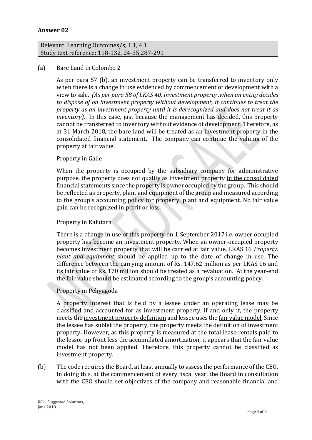#### **Answer 02**

#### Relevant Learning Outcomes/s; 1.1, 4.1 Study text reference: 118-132, 24-35,287-291

#### (a) Bare Land in Colombo 2

As per para 57 (b), an investment property can be transferred to inventory only when there is a change in use evidenced by commencement of development with a view to sale. *(As per para 58 of LKAS 40, Investment property ,when an entity decides to dispose of on investment property without development, it continues to treat the property as an investment property until it is derecognized and does not treat it as inventory*). In this case, just because the management has decided, this property cannot be transferred to inventory without evidence of development. Therefore, as at 31 March 2018, the bare land will be treated as an investment property in the consolidated financial statement**.** The company can continue the valuing of the property at fair value. j

#### Property in Galle

When the property is occupied by the subsidiary company for administrative purpose, the property does not qualify as investment property in the consolidated financial statements since the property is owner occupied by the group. This should be reflected as property, plant and equipment of the group and measured according to the group's accounting policy for property, plant and equipment. No fair value gain can be recognized in profit or loss.

#### Property in Kalutara

There is a change in use of this property on 1 September 2017 i.e. owner occupied property has become an investment property. When an owner-occupied property becomes investment property that will be carried at fair value, LKAS 16 *Property, plant and equipment* should be applied up to the date of change in use. The difference between the carrying amount of Rs. 147.62 million as per LKAS 16 and its fair value of Rs. 170 million should be treated as a revaluation. At the year-end the fair value should be estimated according to the group's accounting policy.

#### Property in Peliyagoda

A property interest that is held by a lessee under an operating lease may be classified and accounted for as investment property, if and only if, the property meets the investment property definition and lessee uses the fair value model. Since the lessee has sublet the property, the property meets the definition of investment property**.** However, as this property is measured at the total lease rentals paid to the lessor up front less the accumulated amortization, it appears that the fair value model has not been applied. Therefore, this property cannot be classified as investment property.

(b) The code requires the Board, at least annually to assess the performance of the CEO. In doing this, at the commencement of every fiscal year, the Board in consultation with the CEO should set objectives of the company and reasonable financial and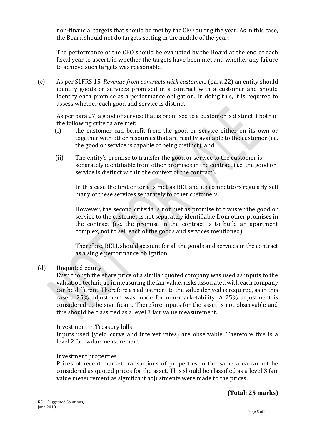non-financial targets that should be met by the CEO during the year. As in this case, the Board should not do targets setting in the middle of the year.

The performance of the CEO should be evaluated by the Board at the end of each fiscal year to ascertain whether the targets have been met and whether any failure to achieve such targets was reasonable.

(c) As per SLFRS 15, *Revenue from contracts with customers* (para 22) an entity should identify goods or services promised in a contract with a customer and should identify each promise as a performance obligation. In doing this, it is required to assess whether each good and service is distinct.

As per para 27, a good or service that is promised to a customer is distinct if both of the following criteria are met:

- (i) the customer can benefit from the good or service either on its own or together with other resources that are readily available to the customer (i.e. the good or service is capable of being distinct); and
- (ii) The entity's promise to transfer the good or service to the customer is separately identifiable from other promises in the contract (i.e. the good or service is distinct within the context of the contract).

In this case the first criteria is met as BEL and its competitors regularly sell many of these services separately to other customers.

However, the second criteria is not met as promise to transfer the good or service to the customer is not separately identifiable from other promises in the contract (i.e. the promise in the contract is to build an apartment complex, not to sell each of the goods and services mentioned).

Therefore, BELL should account for all the goods and services in the contract as a single performance obligation.

#### (d) Unquoted equity

Even though the share price of a similar quoted company was used as inputs to the valuation technique in measuring the fair value, risks associated with each company can be different. Therefore an adjustment to the value derived is required, as in this case a 25% adjustment was made for non-marketability. A 25% adjustment is considered to be significant. Therefore inputs for the asset is not observable and this should be classified as a level 3 fair value measurement.

#### Investment in Treasury bills

Inputs used (yield curve and interest rates) are observable. Therefore this is a level 2 fair value measurement.

#### Investment properties

Prices of recent market transactions of properties in the same area cannot be considered as quoted prices for the asset. This should be classified as a level 3 fair value measurement as significant adjustments were made to the prices.

#### **(Total: 25 marks)**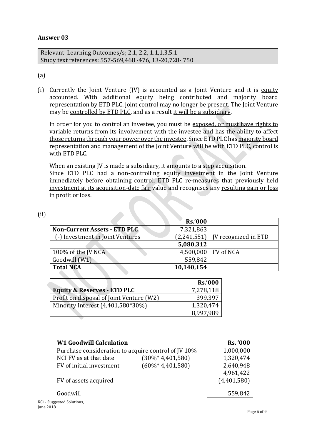#### **Answer 03**

| Relevant Learning Outcomes/s; 2.1, 2.2, 1.1, 1.3, 5.1  |  |
|--------------------------------------------------------|--|
| Study text references: 557-569,468 -476, 13-20,728-750 |  |

#### (a)

(i) Currently the Joint Venture (JV) is accounted as a Joint Venture and it is equity accounted. With additional equity being contributed and majority board representation by ETD PLC, joint control may no longer be present. The Joint Venture may be controlled by ETD PLC, and as a result it will be a subsidiary.

In order for you to control an investee, you must be exposed, or must have rights to variable returns from its involvement with the investee and has the ability to affect those returns through your power over the investee. Since ETD PLC has majority board representation and management of the Joint Venture will be with ETD PLC, control is with ETD PLC.

When an existing JV is made a subsidiary, it amounts to a step acquisition. Since ETD PLC had a non-controlling equity investment in the Joint Venture immediately before obtaining control, ETD PLC re-measures that previously held investment at its acquisition-date fair value and recognises any resulting gain or loss in profit or loss.

|                                      | <b>Rs.'000</b>        |                                      |
|--------------------------------------|-----------------------|--------------------------------------|
| <b>Non-Current Assets - ETD PLC.</b> | 7,321,863             |                                      |
| (-) Investment in Joint Ventures     |                       | $(2,241,551)$   JV recognized in ETD |
|                                      | 5,080,312             |                                      |
| 100% of the JV NCA                   | 4,500,000   FV of NCA |                                      |
| Goodwill (W1)                        | 559,842               |                                      |
| <b>Total NCA</b>                     | 10,140,154            |                                      |

|                                          | <b>Rs.'000</b> |
|------------------------------------------|----------------|
| <b>Equity &amp; Reserves - ETD PLC</b>   | 7,278,118      |
| Profit on disposal of Joint Venture (W2) | 399,397        |
| Minority Interest (4,401,580*30%)        | 1,320,474      |
|                                          | 8.997.989      |

| <b>W1 Goodwill Calculation</b>                      |                      | <b>Rs. '000</b> |
|-----------------------------------------------------|----------------------|-----------------|
| Purchase consideration to acquire control of JV 10% |                      | 1,000,000       |
| NCI FV as at that date                              | $(30\% * 4,401,580)$ | 1,320,474       |
| FV of initial investment                            | $(60\% * 4,401,580)$ | 2,640,948       |
|                                                     |                      | 4,961,422       |
| FV of assets acquired                               |                      | (4,401,580)     |
|                                                     |                      |                 |
| Goodwill                                            |                      | 559,842         |
| ggested Solutions,                                  |                      |                 |

#### (ii)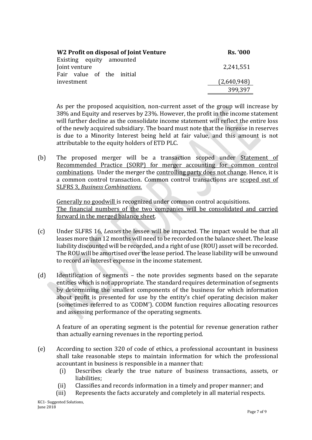| W <sub>2</sub> Profit on disposal of Joint Venture                     | <b>Rs. '000</b> |
|------------------------------------------------------------------------|-----------------|
| Existing equity amounted<br>Joint venture<br>Fair value of the initial | 2,241,551       |
| investment                                                             | (2,640,948)     |
|                                                                        | 399,397         |

As per the proposed acquisition, non-current asset of the group will increase by 38% and Equity and reserves by 23%. However, the profit in the income statement will further decline as the consolidate income statement will reflect the entire loss of the newly acquired subsidiary. The board must note that the increase in reserves is due to a Minority Interest being held at fair value, and this amount is not attributable to the equity holders of ETD PLC.

(b) The proposed merger will be a transaction scoped under Statement of Recommended Practice (SORP) for merger accounting for common control combinations. Under the merger the controlling party does not change. Hence, it is a common control transaction. Common control transactions are scoped out of SLFRS 3, *Business Combinations*.

Generally no goodwill is recognized under common control acquisitions. The financial numbers of the two companies will be consolidated and carried forward in the merged balance sheet.

- (c) Under SLFRS 16, *Leases* the lessee will be impacted. The impact would be that all leases more than 12 months will need to be recorded on the balance sheet. The lease liability discounted will be recorded, and a right of use (ROU) asset will be recorded. The ROU will be amortised over the lease period. The lease liability will be unwound to record an interest expense in the income statement.
- (d) Identification of segments the note provides segments based on the separate entities which is not appropriate. The standard requires determination of segments by determining the smallest components of the business for which information about profit is presented for use by the entity's chief operating decision maker (sometimes referred to as 'CODM'). CODM function requires allocating resources and assessing performance of the operating segments.

A feature of an operating segment is the potential for revenue generation rather than actually earning revenues in the reporting period.

- (e) According to section 320 of code of ethics, a professional accountant in business shall take reasonable steps to maintain information for which the professional accountant in business is responsible in a manner that:
	- (i) Describes clearly the true nature of business transactions, assets, or liabilities;
	- (ii) Classifies and records information in a timely and proper manner; and
	- (iii) Represents the facts accurately and completely in all material respects.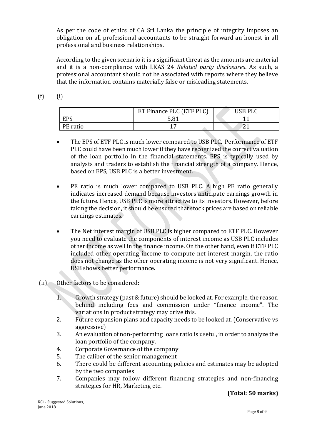As per the code of ethics of CA Sri Lanka the principle of integrity imposes an obligation on all professional accountants to be straight forward an honest in all professional and business relationships.

According to the given scenario it is a significant threat as the amounts are material and it is a non-compliance with LKAS 24 *Related party disclosures*. As such, a professional accountant should not be associated with reports where they believe that the information contains materially false or misleading statements.

 $(f)$   $(i)$ 

|          | ET Finance PLC (ETF PLC) | USB PLC |
|----------|--------------------------|---------|
| EPS      | 5 Q1                     |         |
| PE ratio |                          |         |

- The EPS of ETF PLC is much lower compared to USB PLC. Performance of ETF PLC could have been much lower if they have recognized the correct valuation of the loan portfolio in the financial statements. EPS is typically used by analysts and traders to establish the financial strength of a company. Hence, based on EPS, USB PLC is a better investment.
- PE ratio is much lower compared to USB PLC. A high PE ratio generally indicates increased demand because investors anticipate earnings growth in the future. Hence, USB PLC is more attractive to its investors. However, before taking the decision, it should be ensured that stock prices are based on reliable earnings estimates.
- The Net interest margin of USB PLC is higher compared to ETF PLC. However you need to evaluate the components of interest income as USB PLC includes other income as well in the finance income. On the other hand, even if ETF PLC included other operating income to compute net interest margin, the ratio does not change as the other operating income is not very significant. Hence, USB shows better performance*.*
- (ii) Other factors to be considered:
	- 1. Growth strategy (past & future) should be looked at. For example, the reason behind including fees and commission under "finance income". The variations in product strategy may drive this.
	- 2. Future expansion plans and capacity needs to be looked at. (Conservative vs aggressive)
	- 3. An evaluation of non-performing loans ratio is useful, in order to analyze the loan portfolio of the company.
	- 4. Corporate Governance of the company
	- 5. The caliber of the senior management
	- 6. There could be different accounting policies and estimates may be adopted by the two companies
	- 7. Companies may follow different financing strategies and non-financing strategies for HR, Marketing etc.

#### **(Total: 50 marks)**